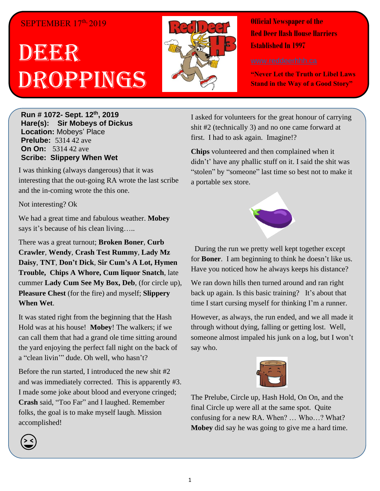## SEPTEMBER 17th, 2019

# DEERR Droppings



**Official Newspaper of the Red Deer Hash House Harriers Established In 1997** 

**"Never Let the Truth or Libel Laws Stand in the Way of a Good Story"**

**Run # 1072- Sept. 12 th, 2019 Hare(s): Sir Mobeys of Dickus Location:** Mobeys' Place **Prelube:** 5314 42 ave **On On:** 5314 42 ave **Scribe: Slippery When Wet**

I was thinking (always dangerous) that it was interesting that the out-going RA wrote the last scribe and the in-coming wrote the this one.

Not interesting? Ok

We had a great time and fabulous weather. **Mobey** says it's because of his clean living…..

There was a great turnout; **Broken Boner**, **Curb Crawler**, **Wendy**, **Crash Test Rummy**, **Lady Mz Daisy**, **TNT**, **Don't Dick**, **Sir Cum's A Lot, Hymen Trouble, Chips A Whore, Cum liquor Snatch**, late cummer **Lady Cum See My Box, Deb**, (for circle up), **Pleasure Chest** (for the fire) and myself; **Slippery When Wet**.

It was stated right from the beginning that the Hash Hold was at his house! **Mobey**! The walkers; if we can call them that had a grand ole time sitting around the yard enjoying the perfect fall night on the back of a "clean livin'" dude. Oh well, who hasn't?

Before the run started, I introduced the new shit #2 and was immediately corrected. This is apparently #3. I made some joke about blood and everyone cringed; **Crash** said, "Too Far" and I laughed. Remember folks, the goal is to make myself laugh. Mission accomplished!

I asked for volunteers for the great honour of carrying shit #2 (technically 3) and no one came forward at first. I had to ask again. Imagine!?

**Chips** volunteered and then complained when it didn't' have any phallic stuff on it. I said the shit was "stolen" by "someone" last time so best not to make it a portable sex store.



 During the run we pretty well kept together except for **Boner**. I am beginning to think he doesn't like us. Have you noticed how he always keeps his distance?

We ran down hills then turned around and ran right back up again. Is this basic training? It's about that time I start cursing myself for thinking I'm a runner.

However, as always, the run ended, and we all made it through without dying, falling or getting lost. Well, someone almost impaled his junk on a log, but I won't say who.



The Prelube, Circle up, Hash Hold, On On, and the final Circle up were all at the same spot. Quite confusing for a new RA. When? … Who…? What? **Mobey** did say he was going to give me a hard time.